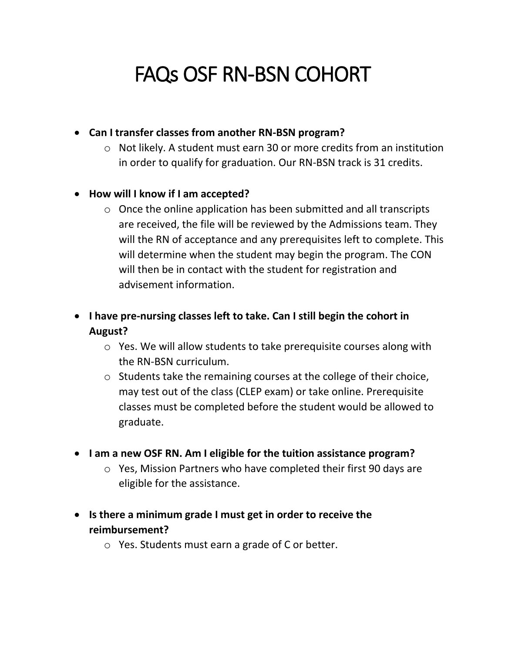# FAQs OSF RN-BSN COHORT

## **Can I transfer classes from another RN-BSN program?**

o Not likely. A student must earn 30 or more credits from an institution in order to qualify for graduation. Our RN-BSN track is 31 credits.

#### **How will I know if I am accepted?**

o Once the online application has been submitted and all transcripts are received, the file will be reviewed by the Admissions team. They will the RN of acceptance and any prerequisites left to complete. This will determine when the student may begin the program. The CON will then be in contact with the student for registration and advisement information.

# **I have pre-nursing classes left to take. Can I still begin the cohort in August?**

- o Yes. We will allow students to take prerequisite courses along with the RN-BSN curriculum.
- o Students take the remaining courses at the college of their choice, may test out of the class (CLEP exam) or take online. Prerequisite classes must be completed before the student would be allowed to graduate.
- **I am a new OSF RN. Am I eligible for the tuition assistance program?**
	- o Yes, Mission Partners who have completed their first 90 days are eligible for the assistance.
- **Is there a minimum grade I must get in order to receive the reimbursement?**
	- o Yes. Students must earn a grade of C or better.